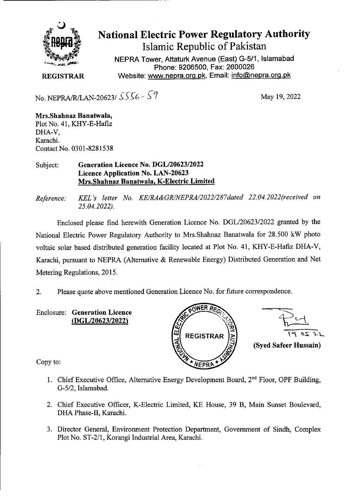

## **National Electric Power Regulatory Authority Islamic Republic of Pakistan**

**NEPRA Tower, Attaturk Avenue (East) G-5/1, Islamabad Phone: 9206500, Fax: 2600026 REGISTRAR** Website: www.nepra.org.pk, Email: info@nepra.org.pk

No. NEPRA/R/LAN-20623/  $5556 - 59$  May 19, 2022

**Mrs.Shahnaz Banatwala,**  Plot No. 41, KHY-E-Hafiz DHA-V, Karachi. Contact No. 0301-8281538

## Subject: **Generation Licence No. DGL/20623/2022 Licence Application No. LAN-20623 Mrs.Shahnaz Banatwala, K-Electric Limited**

*Reference: KEL 's letter No. KE/RA&GRJNEPRA/2022/287dated 22.04.2022(received on 25.04.2022).* 

Enclosed please find herewith Generation Licence No. DGL/20623/2022 granted by the National Electric Power Regulatory Authority to Mrs. Shahnaz Banatwala for 28.500 kW photo voltaic solar based distributed generation facility located at Plot No. 41, KHY-E-Hafiz DHA-V, Karachi, pursuant to NEPRA (Alternative & Renewable Energy) Distributed Generation and Net Metering Regulations, 2015.

2. Please quote above mentioned Generation Licence No. for future correspondence.

**Enclosure: Generation Licence**  *(DGL120623/2022)* 





Copy to:

- 1. Chief Executive Office, Alternative Energy Development Board,  $2<sup>nd</sup>$  Floor, OPF Building, G-5/2, Islamabad.
- 2. Chief Executive Officer, K-Electric Limited, KE House, 39 B, Main Sunset Boulevard, DHA Phase-Il, Karachi.
- 3. Director General, Environment Protection Department, Government of Sindh, Complex Plot No. ST-2/1, Korangi Industrial Area, Karachi.